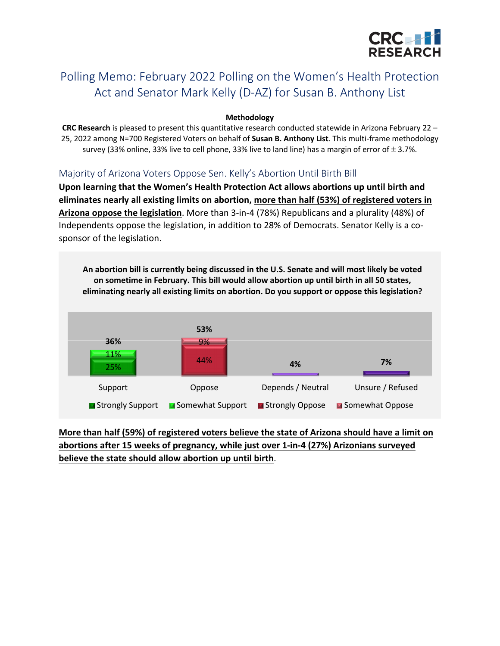

# Polling Memo: February 2022 Polling on the Women's Health Protection Act and Senator Mark Kelly (D-AZ) for Susan B. Anthony List

#### **Methodology**

**CRC Research** is pleased to present this quantitative research conducted statewide in Arizona February 22 – 25, 2022 among N=700 Registered Voters on behalf of **Susan B. Anthony List**. This multi-frame methodology survey (33% online, 33% live to cell phone, 33% live to land line) has a margin of error of  $\pm$  3.7%.

### Majority of Arizona Voters Oppose Sen. Kelly's Abortion Until Birth Bill

**Upon learning that the Women's Health Protection Act allows abortions up until birth and eliminates nearly all existing limits on abortion, more than half (53%) of registered voters in Arizona oppose the legislation**. More than 3-in-4 (78%) Republicans and a plurality (48%) of Independents oppose the legislation, in addition to 28% of Democrats. Senator Kelly is a cosponsor of the legislation.



**More than half (59%) of registered voters believe the state of Arizona should have a limit on abortions after 15 weeks of pregnancy, while just over 1-in-4 (27%) Arizonians surveyed believe the state should allow abortion up until birth**.